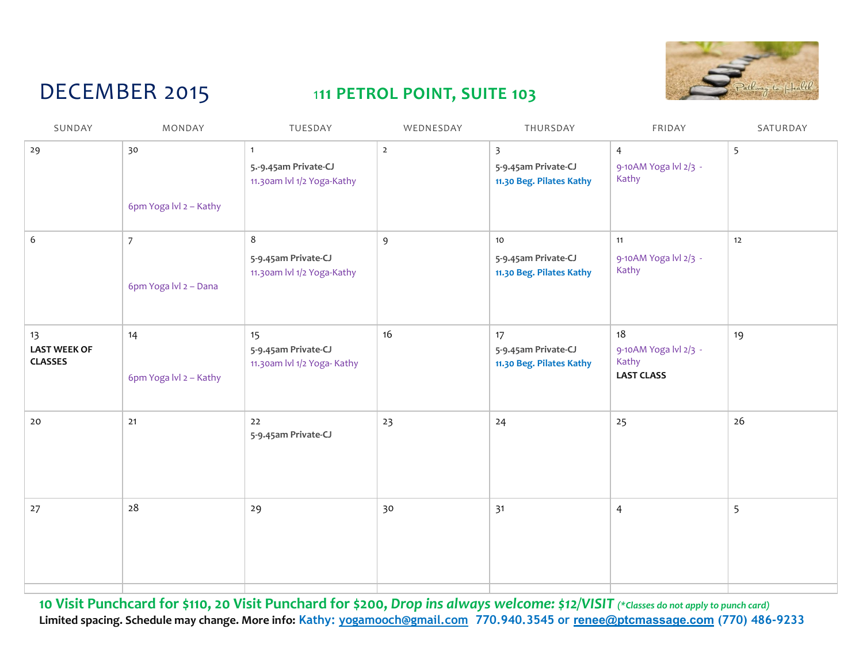

## DECEMBER 2015

## 111 PETROL POINT, SUITE 103

| SUNDAY                                      | MONDAY                                  | TUESDAY                                                              | WEDNESDAY      | THURSDAY                                                                   | FRIDAY                                                    | SATURDAY |
|---------------------------------------------|-----------------------------------------|----------------------------------------------------------------------|----------------|----------------------------------------------------------------------------|-----------------------------------------------------------|----------|
| 29                                          | 30<br>6pm Yoga lvl 2 - Kathy            | $\mathbf{1}$<br>5 .- 9.45am Private-CJ<br>11.30am lvl 1/2 Yoga-Kathy | $\overline{2}$ | $\overline{\mathbf{3}}$<br>5-9.45am Private-CJ<br>11.30 Beg. Pilates Kathy | $\overline{4}$<br>9-10AM Yoga lvl 2/3 -<br>Kathy          | 5        |
| 6                                           | $\overline{7}$<br>6pm Yoga lvl 2 - Dana | 8<br>5-9.45am Private-CJ<br>11.30am lvl 1/2 Yoga-Kathy               | $\overline{9}$ | 10<br>5-9.45am Private-CJ<br>11.30 Beg. Pilates Kathy                      | 11<br>9-10AM Yoga lvl 2/3 -<br>Kathy                      | 12       |
| 13<br><b>LAST WEEK OF</b><br><b>CLASSES</b> | 14<br>6pm Yoga Ivl 2 - Kathy            | 15<br>5-9.45am Private-CJ<br>11.30am lvl 1/2 Yoga- Kathy             | 16             | 17<br>5-9.45am Private-CJ<br>11.30 Beg. Pilates Kathy                      | 18<br>9-10AM Yoga lvl 2/3 -<br>Kathy<br><b>LAST CLASS</b> | 19       |
| 20                                          | 21                                      | 22<br>5-9.45am Private-CJ                                            | 23             | 24                                                                         | 25                                                        | 26       |
| 27                                          | 28                                      | 29                                                                   | 30             | 31                                                                         | $\overline{4}$                                            | 5        |
|                                             |                                         |                                                                      |                |                                                                            |                                                           |          |

10 Visit Punchcard for \$110, 20 Visit Punchard for \$200, Drop ins always welcome: \$12/VISIT (\*Classes do not apply to punch card) Limited spacing. Schedule may change. More info: Kathy: yogamooch@gmail.com 770.940.3545 or renee@ptcmassage.com (770) 486-9233